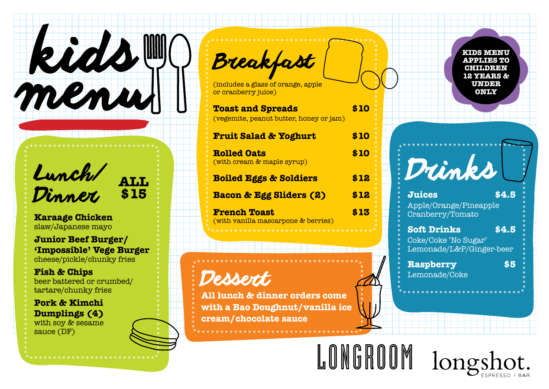*kids* 

*menu*

## *Breakfast*

(includes a glass of orange, apple or cranberry juice)

| <b>Toast and Spreads</b><br>(vegemite, peanut butter, honey or jam) | \$10 |
|---------------------------------------------------------------------|------|
| <b>Fruit Salad &amp; Yoghurt</b>                                    | \$10 |
| <b>Rolled Oats</b><br>(with cream & maple syrup)                    | \$10 |
| <b>Boiled Eggs &amp; Soldiers</b>                                   | \$12 |
| <b>Bacon &amp; Egg Sliders (2)</b>                                  | \$12 |
| <b>French Toast</b><br>(with vanilla mascarpone & berries)          | \$13 |
|                                                                     |      |

### *Dessert*

**All lunch & dinner orders come with a Bao Doughnut/vanilla ice cream/chocolate sauce**

# LONGROOM longshot.

**ALL \$15**



*Lunch/ Dinner*

**Karaage Chicken** slaw/Japanese mayo

**Junior Beef Burger/ 'Impossible' Vege Burger** cheese/pickle/chunky fries

**Fish & Chips** beer battered or crumbed/ tartare/chunky fries

**Pork & Kimchi Dumplings (4)** with soy & sesame sauce (DF)